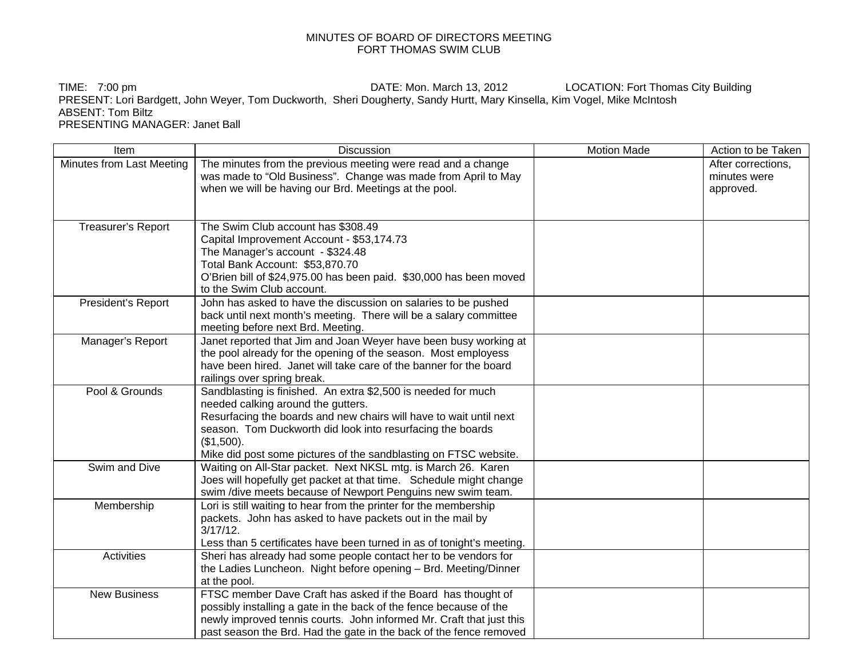## MINUTES OF BOARD OF DIRECTORS MEETING FORT THOMAS SWIM CLUB

TIME: 7:00 pm **DATE:** Mon. March 13, 2012 LOCATION: Fort Thomas City Building PRESENT: Lori Bardgett, John Weyer, Tom Duckworth, Sheri Dougherty, Sandy Hurtt, Mary Kinsella, Kim Vogel, Mike McIntosh ABSENT: Tom Biltz PRESENTING MANAGER: Janet Ball

| Item                      | Discussion                                                                                                                    | <b>Motion Made</b> | Action to be Taken                 |
|---------------------------|-------------------------------------------------------------------------------------------------------------------------------|--------------------|------------------------------------|
| Minutes from Last Meeting | The minutes from the previous meeting were read and a change<br>was made to "Old Business". Change was made from April to May |                    | After corrections.<br>minutes were |
|                           | when we will be having our Brd. Meetings at the pool.                                                                         |                    | approved.                          |
| Treasurer's Report        | The Swim Club account has \$308.49                                                                                            |                    |                                    |
|                           | Capital Improvement Account - \$53,174.73                                                                                     |                    |                                    |
|                           | The Manager's account - \$324.48                                                                                              |                    |                                    |
|                           | Total Bank Account: \$53,870.70                                                                                               |                    |                                    |
|                           | O'Brien bill of \$24,975.00 has been paid. \$30,000 has been moved<br>to the Swim Club account.                               |                    |                                    |
| President's Report        | John has asked to have the discussion on salaries to be pushed                                                                |                    |                                    |
|                           | back until next month's meeting. There will be a salary committee                                                             |                    |                                    |
|                           | meeting before next Brd. Meeting.                                                                                             |                    |                                    |
| Manager's Report          | Janet reported that Jim and Joan Weyer have been busy working at                                                              |                    |                                    |
|                           | the pool already for the opening of the season. Most employess                                                                |                    |                                    |
|                           | have been hired. Janet will take care of the banner for the board                                                             |                    |                                    |
|                           | railings over spring break.                                                                                                   |                    |                                    |
| Pool & Grounds            | Sandblasting is finished. An extra \$2,500 is needed for much                                                                 |                    |                                    |
|                           | needed calking around the gutters.                                                                                            |                    |                                    |
|                           | Resurfacing the boards and new chairs will have to wait until next                                                            |                    |                                    |
|                           | season. Tom Duckworth did look into resurfacing the boards                                                                    |                    |                                    |
|                           | (\$1,500).                                                                                                                    |                    |                                    |
|                           | Mike did post some pictures of the sandblasting on FTSC website.                                                              |                    |                                    |
| Swim and Dive             | Waiting on All-Star packet. Next NKSL mtg. is March 26. Karen                                                                 |                    |                                    |
|                           | Joes will hopefully get packet at that time. Schedule might change                                                            |                    |                                    |
|                           | swim /dive meets because of Newport Penguins new swim team.                                                                   |                    |                                    |
| Membership                | Lori is still waiting to hear from the printer for the membership                                                             |                    |                                    |
|                           | packets. John has asked to have packets out in the mail by                                                                    |                    |                                    |
|                           | $3/17/12$ .                                                                                                                   |                    |                                    |
|                           | Less than 5 certificates have been turned in as of tonight's meeting.                                                         |                    |                                    |
| <b>Activities</b>         | Sheri has already had some people contact her to be vendors for                                                               |                    |                                    |
|                           | the Ladies Luncheon. Night before opening - Brd. Meeting/Dinner                                                               |                    |                                    |
|                           | at the pool.                                                                                                                  |                    |                                    |
| <b>New Business</b>       | FTSC member Dave Craft has asked if the Board has thought of                                                                  |                    |                                    |
|                           | possibly installing a gate in the back of the fence because of the                                                            |                    |                                    |
|                           | newly improved tennis courts. John informed Mr. Craft that just this                                                          |                    |                                    |
|                           | past season the Brd. Had the gate in the back of the fence removed                                                            |                    |                                    |